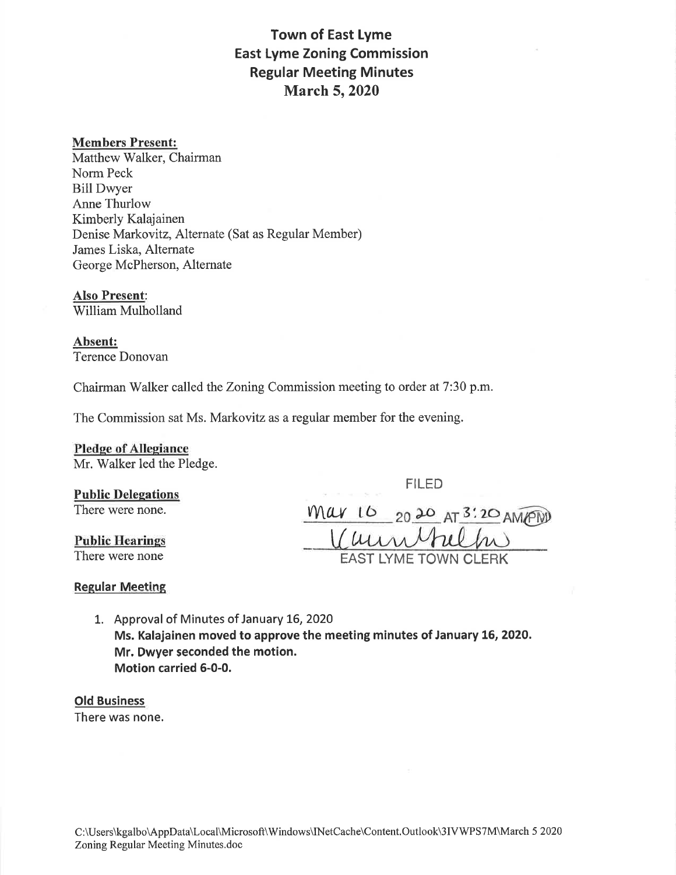### Town of East Lyme East Lyme Zoning Commission Regular Meeting Minutes **March 5, 2020**

### Members Present:

Matthew Walker, Chairman Norm Peck Bill Dwyer Anne Thurlow Kimberly Kalajainen Denise Markovitz, Alternate (Sat as Regular Member) James Liska, Alternate George McPherson, Alternate

Also Present: William Mulholland

Absent: Terence Donovan

Chairman Walker called the Zoning Commission meeting to order at 7:30 p.m.

The Commission sat Ms. Markovitz as a regular member for the evening.

## Pledge of Allegiance

Mr. Walker led the Pledge.

FILED

# Public Delegations

**Public Hearings**<br>There were none

There were none.  $MAV$  16 20 20 AT 3:20 AMPW EAST LYME TOWN CLERK

#### **Regular Meeting**

1. Approval of Minutes of January 16, 2020 Ms. Kalajainen moved to approve the meeting minutes of January 16, 2020. Mr. Dwyer seconded the motion. Motion carried 6-0-0.

### Old Business

There was none.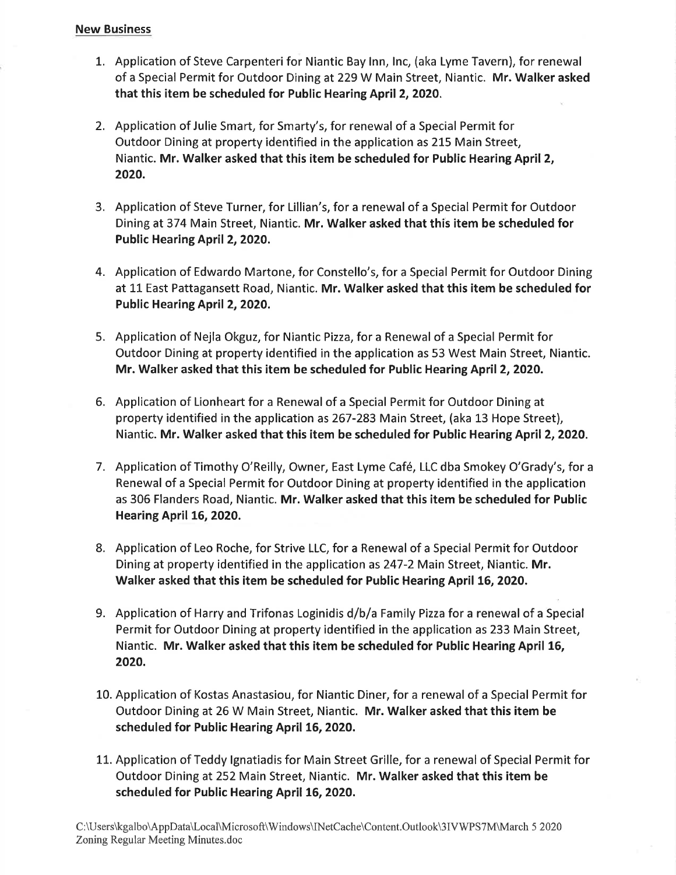### New Business

- 1. Application of Steve Carpenteri for Niantic Bay Inn, Inc, (aka Lyme Tavern), for renewal of a Special Permit for Outdoor Dining at 229 W Main Street, Niantic. Mr. Walker asked that this item be scheduled for Public Hearing April 2, 2020.
- 2. Application of Julie Smart, for Smarty's, for renewal of a Special Permit for Outdoor Dining at property identified in the application as 215 Main Street, Niantic. Mr. Walker asked that this item be scheduled for Public Hearing April 2, 2020.
- 3. Application of Steve Turner, for Lillian's, for a renewal of a Special Permit for Outdoor Dining at374 Main Street, Niantic. Mr. Walker asked that this item be scheduled for Public Hearing April 2, 2020.
- 4. Application of Edwardo Martone, for Constello's, for a Special Permit for Outdoor Dining at 11 East Pattagansett Road, Niantic. Mr. Walker asked that this item be scheduled for Public Hearing April 2, 2020.
- 5. Application of Nejla Okguz, for Niantic Pizza, for a Renewal of a Special Permit for Outdoor Dining at property identified in the application as 53 West Main Street, Niantic. Mr. Walker asked that this item be scheduled for Public Hearing April 2, 2020.
- 6. Application of Lionheart for a Renewal of a Special Permit for Outdoor Dining at property identified in the application as 267-283 Main Street, (aka 13 Hope Street), Niantic. Mr. Walker asked that this item be scheduled for Public Hearing April 2, 2O2O.
- 7. Application of Timothy O'Reilly, Owner, East Lyme Café, LLC dba Smokey O'Grady's, for a Renewal of a Special Permit for Outdoor Dining at property identified in the application as 306 Flanders Road, Niantic. Mr. Walker asked that this item be scheduled for Public Hearing April 16, 2020.
- 8. Application of Leo Roche, for Strive LLC, for a Renewal of a Special Permit for Outdoor Dining at property identified in the application as 247-2 Main Street, Niantic. Mr. Walker asked that this item be scheduled for Public Hearing April 16, 2020.
- 9. Application of Harry and Trifonas Loginidis d/b/a Family Pizza for a renewal of a Special Permit for Outdoor Dining at property identified in the application as 233 Main Street, Niantic. Mr. Walker asked that this item be scheduled for Public Hearing April 16, 2020.
- 10. Application of Kostas Anastasiou, for Niantic Diner, for a renewal of a Special Permit for Outdoor Dining at 26 W Main Street, Niantic. Mr. Walker asked that this item be scheduled for Public Hearing April 15, 2020.
- LL. Application of Teddy lgnatiadis for Main Street Grille, for a renewal of Special Permit for Outdoor Dining at 252 Main Street, Niantic. Mr. Walker asked that this item be scheduled for Public Hearing April 16, 2020.